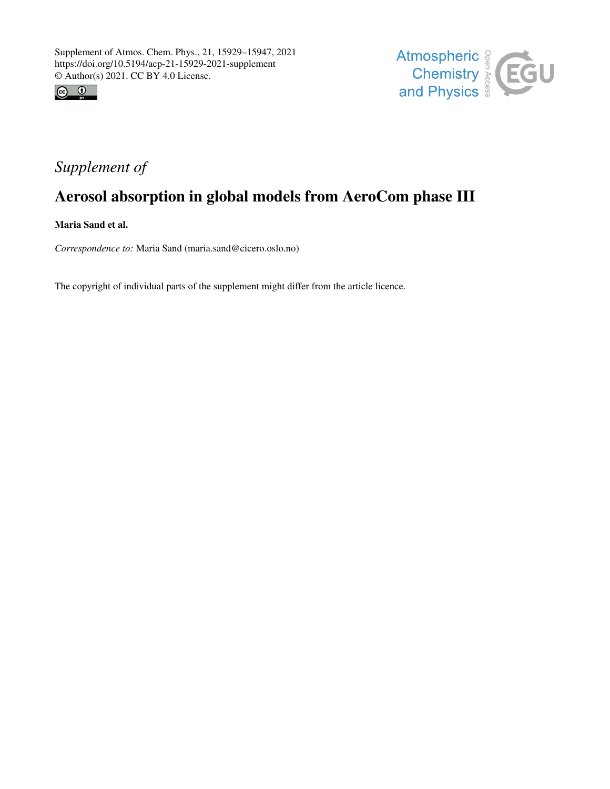



## *Supplement of*

# Aerosol absorption in global models from AeroCom phase III

Maria Sand et al.

*Correspondence to:* Maria Sand (maria.sand@cicero.oslo.no)

The copyright of individual parts of the supplement might differ from the article licence.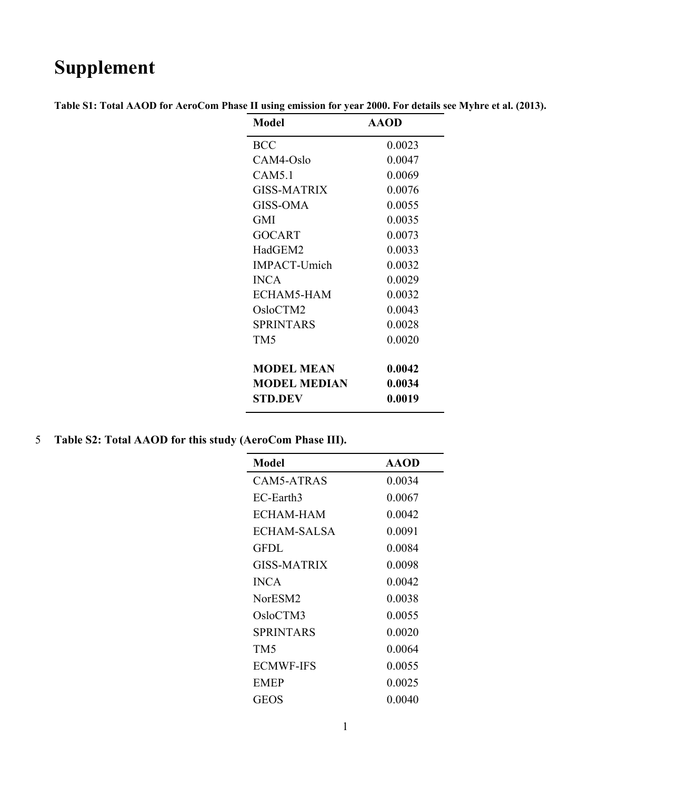# **Supplement**

| Model               | <b>AAOD</b> |
|---------------------|-------------|
| BCC                 | 0.0023      |
| CAM4-Oslo           | 0.0047      |
| CAM5.1              | 0.0069      |
| GISS-MATRIX         | 0.0076      |
| GISS-OMA            | 0.0055      |
| GMI                 | 0.0035      |
| GOCART              | 0.0073      |
| HadGEM2             | 0.0033      |
| <b>IMPACT-Umich</b> | 0.0032      |
| <b>INCA</b>         | 0.0029      |
| ECHAM5-HAM          | 0.0032      |
| OsloCTM2            | 0.0043      |
| <b>SPRINTARS</b>    | 0.0028      |
| TM <sub>5</sub>     | 0.0020      |
| <b>MODEL MEAN</b>   | 0.0042      |
| <b>MODEL MEDIAN</b> | 0.0034      |
| STD.DEV             | 0.0019      |

**Table S1: Total AAOD for AeroCom Phase II using emission for year 2000. For details see Myhre et al. (2013).**

5 **Table S2: Total AAOD for this study (AeroCom Phase III).** 

| Model               | <b>AAOD</b> |
|---------------------|-------------|
| CAM5-ATRAS          | 0.0034      |
| EC-Earth3           | 0.0067      |
| ECHAM-HAM           | 0.0042      |
| ECHAM-SALSA         | 0.0091      |
| GFDL                | 0.0084      |
| GISS-MATRIX         | 0.0098      |
| <b>INCA</b>         | 0.0042      |
| NorESM <sub>2</sub> | 0.0038      |
| OsloCTM3            | 0.0055      |
| SPRINTARS           | 0.0020      |
| TM5                 | 0.0064      |
| <b>ECMWF-IFS</b>    | 0.0055      |
| <b>EMEP</b>         | 0.0025      |
| GEOS                | 0.0040      |
|                     |             |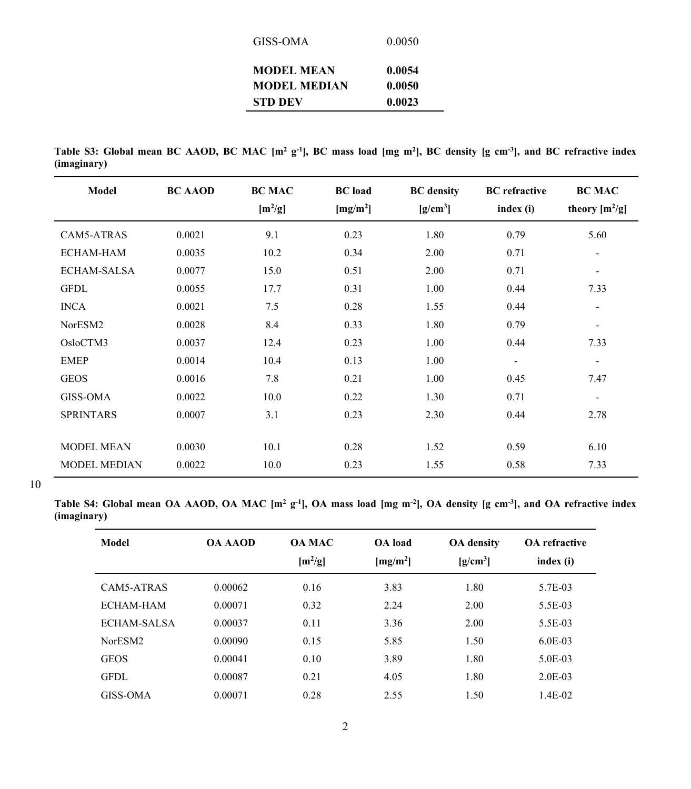| GISS-OMA            | 0.0050 |
|---------------------|--------|
| <b>MODEL MEAN</b>   | 0.0054 |
| <b>MODEL MEDIAN</b> | 0.0050 |
| <b>STD DEV</b>      | 0.0023 |

**Table S3: Global mean BC AAOD, BC MAC [m2 g-1], BC mass load [mg m2 ], BC density [g cm-3], and BC refractive index (imaginary)**

| Model               | <b>BC AAOD</b> | <b>BC MAC</b><br>$[m^2/g]$ | <b>BC</b> load<br>[mg/m <sup>2</sup> ] | <b>BC</b> density<br>$[g/cm^3]$ | <b>BC</b> refractive<br>index (i) | <b>BC MAC</b><br>theory $[m^2/g]$ |
|---------------------|----------------|----------------------------|----------------------------------------|---------------------------------|-----------------------------------|-----------------------------------|
| CAM5-ATRAS          | 0.0021         | 9.1                        | 0.23                                   | 1.80                            | 0.79                              | 5.60                              |
| <b>ECHAM-HAM</b>    | 0.0035         | 10.2                       | 0.34                                   | 2.00                            | 0.71                              | $\overline{\phantom{a}}$          |
| <b>ECHAM-SALSA</b>  | 0.0077         | 15.0                       | 0.51                                   | 2.00                            | 0.71                              | $\overline{\phantom{a}}$          |
| <b>GFDL</b>         | 0.0055         | 17.7                       | 0.31                                   | 1.00                            | 0.44                              | 7.33                              |
| <b>INCA</b>         | 0.0021         | 7.5                        | 0.28                                   | 1.55                            | 0.44                              | $\overline{\phantom{a}}$          |
| NorESM2             | 0.0028         | 8.4                        | 0.33                                   | 1.80                            | 0.79                              | $\overline{\phantom{a}}$          |
| OsloCTM3            | 0.0037         | 12.4                       | 0.23                                   | 1.00                            | 0.44                              | 7.33                              |
| <b>EMEP</b>         | 0.0014         | 10.4                       | 0.13                                   | 1.00                            | $\overline{\phantom{a}}$          | $\overline{\phantom{a}}$          |
| <b>GEOS</b>         | 0.0016         | 7.8                        | 0.21                                   | 1.00                            | 0.45                              | 7.47                              |
| <b>GISS-OMA</b>     | 0.0022         | 10.0                       | 0.22                                   | 1.30                            | 0.71                              | $\overline{\phantom{a}}$          |
| <b>SPRINTARS</b>    | 0.0007         | 3.1                        | 0.23                                   | 2.30                            | 0.44                              | 2.78                              |
|                     |                |                            |                                        |                                 |                                   |                                   |
| <b>MODEL MEAN</b>   | 0.0030         | 10.1                       | 0.28                                   | 1.52                            | 0.59                              | 6.10                              |
| <b>MODEL MEDIAN</b> | 0.0022         | 10.0                       | 0.23                                   | 1.55                            | 0.58                              | 7.33                              |

10

**Table S4: Global mean OA AAOD, OA MAC [m2 g-1], OA mass load [mg m-2], OA density [g cm-3], and OA refractive index (imaginary)**

| Model       | <b>OA AAOD</b> | <b>OA MAC</b><br>$[m^2/g]$ | <b>OA</b> load<br>[mg/m <sup>2</sup> ] | <b>OA</b> density<br>$[g/cm^3]$ | <b>OA</b> refractive<br>index (i) |
|-------------|----------------|----------------------------|----------------------------------------|---------------------------------|-----------------------------------|
| CAM5-ATRAS  | 0.00062        | 0.16                       | 3.83                                   | 1.80                            | 5.7E-03                           |
| ECHAM-HAM   | 0.00071        | 0.32                       | 2.24                                   | 2.00                            | 5.5E-03                           |
| ECHAM-SALSA | 0.00037        | 0.11                       | 3.36                                   | 2.00                            | 5.5E-03                           |
| NorESM2     | 0.00090        | 0.15                       | 5.85                                   | 1.50                            | $6.0E-03$                         |
| <b>GEOS</b> | 0.00041        | 0.10                       | 3.89                                   | 1.80                            | 5.0E-03                           |
| <b>GFDL</b> | 0.00087        | 0.21                       | 4.05                                   | 1.80                            | $2.0E-03$                         |
| GISS-OMA    | 0.00071        | 0.28                       | 2.55                                   | 1.50                            | $1.4E-02$                         |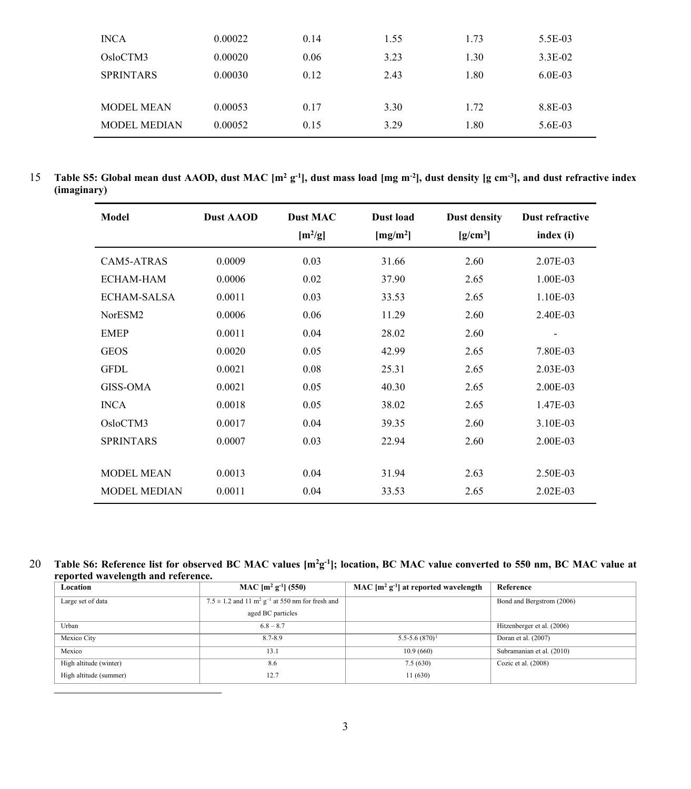| <b>INCA</b>         | 0.00022 | 0.14 | 1.55 | 1.73 | 5.5E-03   |
|---------------------|---------|------|------|------|-----------|
| OsloCTM3            | 0.00020 | 0.06 | 3.23 | 1.30 | $3.3E-02$ |
| <b>SPRINTARS</b>    | 0.00030 | 0.12 | 2.43 | 1.80 | $6.0E-03$ |
|                     |         |      |      |      |           |
| <b>MODEL MEAN</b>   | 0.00053 | 0.17 | 3.30 | 1.72 | 8.8E-03   |
| <b>MODEL MEDIAN</b> | 0.00052 | 0.15 | 3.29 | 1.80 | 5.6E-03   |
|                     |         |      |      |      |           |

**Table S5: Global mean dust AAOD, dust MAC [m2 g-1], dust mass load [mg m-2 ], dust density [g cm-3** 15 **], and dust refractive index (imaginary)**

| Model               | <b>Dust AAOD</b> | <b>Dust MAC</b><br>$[m^2/g]$ | Dust load<br>[mg/m <sup>2</sup> ] | <b>Dust density</b><br>$[g/cm^3]$ | Dust refractive<br>index (i) |
|---------------------|------------------|------------------------------|-----------------------------------|-----------------------------------|------------------------------|
| CAM5-ATRAS          | 0.0009           | 0.03                         | 31.66                             | 2.60                              | 2.07E-03                     |
| ECHAM-HAM           | 0.0006           | 0.02                         | 37.90                             | 2.65                              | 1.00E-03                     |
| <b>ECHAM-SALSA</b>  | 0.0011           | 0.03                         | 33.53                             | 2.65                              | 1.10E-03                     |
| NorESM2             | 0.0006           | 0.06                         | 11.29                             | 2.60                              | 2.40E-03                     |
| <b>EMEP</b>         | 0.0011           | 0.04                         | 28.02                             | 2.60                              | $\overline{a}$               |
| <b>GEOS</b>         | 0.0020           | 0.05                         | 42.99                             | 2.65                              | 7.80E-03                     |
| <b>GFDL</b>         | 0.0021           | 0.08                         | 25.31                             | 2.65                              | $2.03E-03$                   |
| <b>GISS-OMA</b>     | 0.0021           | 0.05                         | 40.30                             | 2.65                              | 2.00E-03                     |
| <b>INCA</b>         | 0.0018           | 0.05                         | 38.02                             | 2.65                              | 1.47E-03                     |
| OsloCTM3            | 0.0017           | 0.04                         | 39.35                             | 2.60                              | 3.10E-03                     |
| <b>SPRINTARS</b>    | 0.0007           | 0.03                         | 22.94                             | 2.60                              | 2.00E-03                     |
|                     |                  |                              |                                   |                                   |                              |
| <b>MODEL MEAN</b>   | 0.0013           | 0.04                         | 31.94                             | 2.63                              | 2.50E-03                     |
| <b>MODEL MEDIAN</b> | 0.0011           | 0.04                         | 33.53                             | 2.65                              | $2.02E-03$                   |

**Table S6: Reference list for observed BC MAC values [m2g-1** 20 **]; location, BC MAC value converted to 550 nm, BC MAC value at reported wavelength and reference.**

<span id="page-3-0"></span>

| Location               | MAC $[m^2 g^{-1}]$ (550)                                                  | MAC $[m^2 g^{-1}]$ at reported wavelength | Reference                  |
|------------------------|---------------------------------------------------------------------------|-------------------------------------------|----------------------------|
| Large set of data      | $7.5 \pm 1.2$ and $11 \text{ m}^2 \text{ g}^{-1}$ at 550 nm for fresh and |                                           | Bond and Bergstrom (2006)  |
|                        | aged BC particles                                                         |                                           |                            |
| Urban                  | $6.8 - 8.7$                                                               |                                           | Hitzenberger et al. (2006) |
| Mexico City            | 8.7-8.9                                                                   | $5.5 - 5.6 (870)^1$                       | Doran et al. (2007)        |
| Mexico                 | 13.1                                                                      | 10.9(660)                                 | Subramanian et al. (2010)  |
| High altitude (winter) | 8.6                                                                       | 7.5(630)                                  | Cozic et al. $(2008)$      |
| High altitude (summer) | 12.7                                                                      | 11(630)                                   |                            |
|                        |                                                                           |                                           |                            |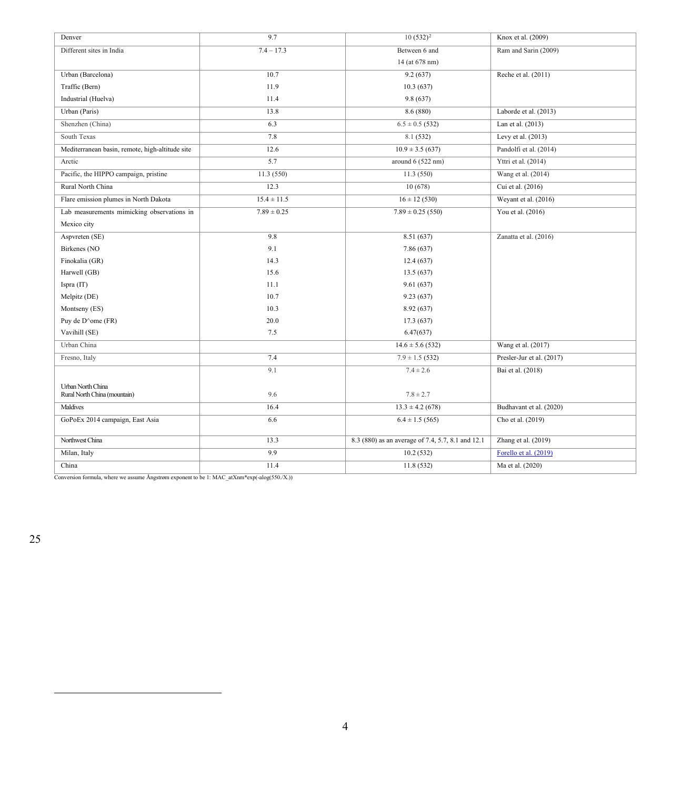| Denver                                          | 9.7             | $10(532)^2$                                       | Knox et al. (2009)        |
|-------------------------------------------------|-----------------|---------------------------------------------------|---------------------------|
| Different sites in India                        | $7.4 - 17.3$    | Between 6 and                                     | Ram and Sarin (2009)      |
|                                                 |                 | 14 (at 678 nm)                                    |                           |
| Urban (Barcelona)                               | 10.7            | 9.2(637)                                          | Reche et al. $(2011)$     |
| Traffic (Bern)                                  | 11.9            | 10.3(637)                                         |                           |
| Industrial (Huelva)                             | 11.4            | 9.8(637)                                          |                           |
| Urban (Paris)                                   | 13.8            | 8.6 (880)                                         | Laborde et al. (2013)     |
| Shenzhen (China)                                | 6.3             | $6.5 \pm 0.5$ (532)                               | Lan et al. (2013)         |
| South Texas                                     | 7.8             | 8.1(532)                                          | Levy et al. (2013)        |
| Mediterranean basin, remote, high-altitude site | 12.6            | $10.9 \pm 3.5(637)$                               | Pandolfi et al. (2014)    |
| Arctic                                          | 5.7             | around $6(522 nm)$                                | Yttri et al. (2014)       |
| Pacific, the HIPPO campaign, pristine           | 11.3(550)       | 11.3(550)                                         | Wang et al. (2014)        |
| Rural North China                               | 12.3            | 10(678)                                           | Cui et al. (2016)         |
| Flare emission plumes in North Dakota           | $15.4 \pm 11.5$ | $16 \pm 12$ (530)                                 | Weyant et al. (2016)      |
| Lab measurements mimicking observations in      | $7.89 \pm 0.25$ | $7.89 \pm 0.25$ (550)                             | You et al. (2016)         |
| Mexico city                                     |                 |                                                   |                           |
| Aspvreten (SE)                                  | 9.8             | 8.51 (637)                                        | Zanatta et al. (2016)     |
| Birkenes (NO                                    | 9.1             | 7.86 (637)                                        |                           |
| Finokalia (GR)                                  | 14.3            | 12.4(637)                                         |                           |
| Harwell (GB)                                    | 15.6            | 13.5(637)                                         |                           |
| Ispra (IT)                                      | 11.1            | 9.61(637)                                         |                           |
| Melpitz (DE)                                    | 10.7            | 9.23(637)                                         |                           |
| Montseny (ES)                                   | 10.3            | 8.92 (637)                                        |                           |
| Puy de D^ome (FR)                               | 20.0            | 17.3(637)                                         |                           |
| Vavihill (SE)                                   | 7.5             | 6.47(637)                                         |                           |
| Urban China                                     |                 | $14.6 \pm 5.6$ (532)                              | Wang et al. (2017)        |
| Fresno, Italy                                   | 7.4             | $7.9 \pm 1.5$ (532)                               | Presler-Jur et al. (2017) |
|                                                 | 9.1             | $7.4 \pm 2.6$                                     | Bai et al. (2018)         |
| Urban North China                               |                 |                                                   |                           |
| Rural North China (mountain)                    | 9.6             | $7.8 \pm 2.7$                                     |                           |
| Maldives                                        | 16.4            | $13.3 \pm 4.2$ (678)                              | Budhavant et al. (2020)   |
| GoPoEx 2014 campaign, East Asia                 | 6.6             | $6.4 \pm 1.5$ (565)                               | Cho et al. (2019)         |
| Northwest China                                 | 13.3            | 8.3 (880) as an average of 7.4, 5.7, 8.1 and 12.1 | Zhang et al. (2019)       |
| Milan, Italy                                    | 9.9             | 10.2(532)                                         | Forello et al. (2019)     |
| China                                           | 11.4            | 11.8(532)                                         | Ma et al. (2020)          |

Conversion formula, where we assume Ångstrøm exponent to be 1: MAC\_atXnm\*exp(-alog(550./X.))

<span id="page-4-0"></span>25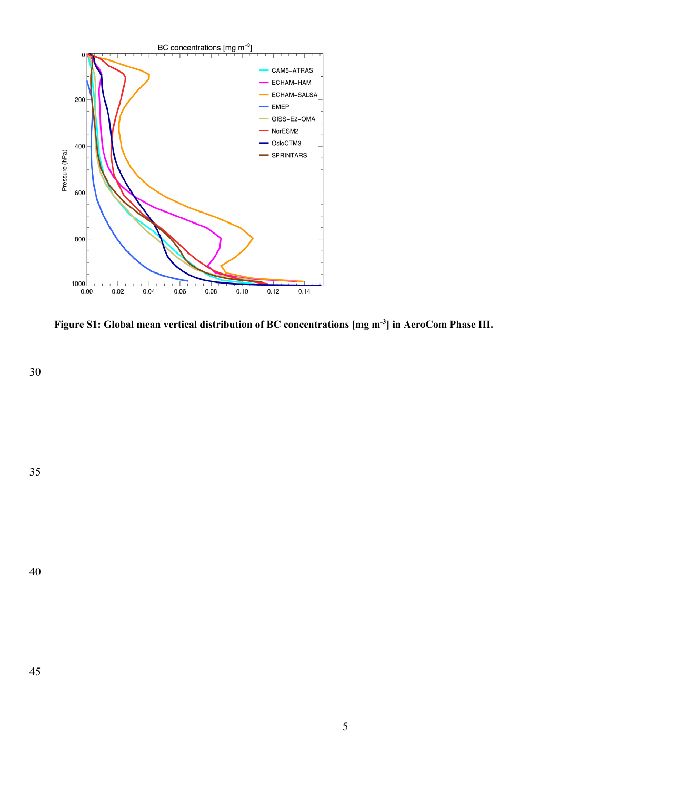

**Figure S1: Global mean vertical distribution of BC concentrations [mg m-3] in AeroCom Phase III.**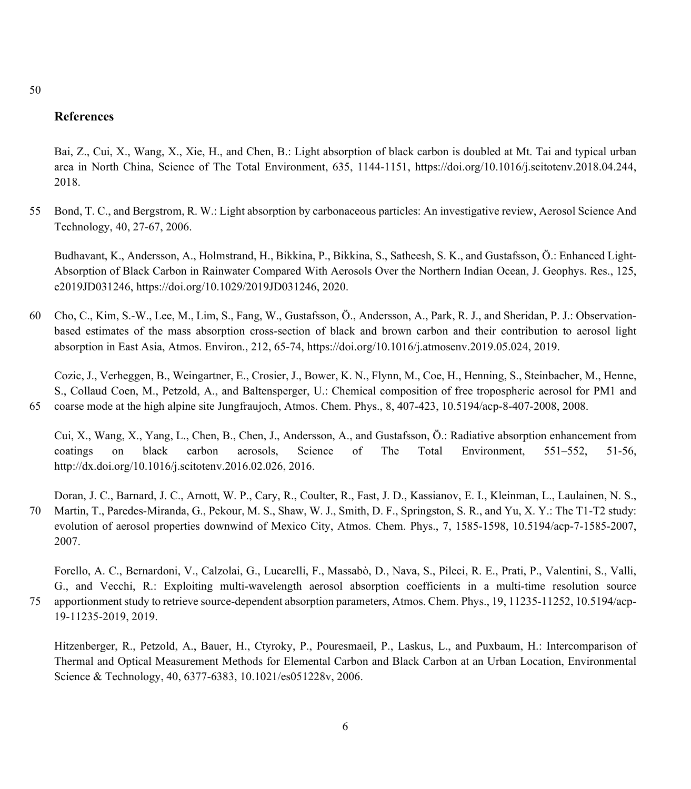50

### **References**

Bai, Z., Cui, X., Wang, X., Xie, H., and Chen, B.: Light absorption of black carbon is doubled at Mt. Tai and typical urban area in North China, Science of The Total Environment, 635, 1144-1151, https://doi.org/10.1016/j.scitotenv.2018.04.244, 2018.

55 Bond, T. C., and Bergstrom, R. W.: Light absorption by carbonaceous particles: An investigative review, Aerosol Science And Technology, 40, 27-67, 2006.

Budhavant, K., Andersson, A., Holmstrand, H., Bikkina, P., Bikkina, S., Satheesh, S. K., and Gustafsson, Ö.: Enhanced Light-Absorption of Black Carbon in Rainwater Compared With Aerosols Over the Northern Indian Ocean, J. Geophys. Res., 125, e2019JD031246, https://doi.org/10.1029/2019JD031246, 2020.

60 Cho, C., Kim, S.-W., Lee, M., Lim, S., Fang, W., Gustafsson, Ö., Andersson, A., Park, R. J., and Sheridan, P. J.: Observationbased estimates of the mass absorption cross-section of black and brown carbon and their contribution to aerosol light absorption in East Asia, Atmos. Environ., 212, 65-74, https://doi.org/10.1016/j.atmosenv.2019.05.024, 2019.

Cozic, J., Verheggen, B., Weingartner, E., Crosier, J., Bower, K. N., Flynn, M., Coe, H., Henning, S., Steinbacher, M., Henne, S., Collaud Coen, M., Petzold, A., and Baltensperger, U.: Chemical composition of free tropospheric aerosol for PM1 and 65 coarse mode at the high alpine site Jungfraujoch, Atmos. Chem. Phys., 8, 407-423, 10.5194/acp-8-407-2008, 2008.

Cui, X., Wang, X., Yang, L., Chen, B., Chen, J., Andersson, A., and Gustafsson, Ö.: Radiative absorption enhancement from coatings on black carbon aerosols, Science of The Total Environment, 551–552, 51-56, http://dx.doi.org/10.1016/j.scitotenv.2016.02.026, 2016.

Doran, J. C., Barnard, J. C., Arnott, W. P., Cary, R., Coulter, R., Fast, J. D., Kassianov, E. I., Kleinman, L., Laulainen, N. S., 70 Martin, T., Paredes-Miranda, G., Pekour, M. S., Shaw, W. J., Smith, D. F., Springston, S. R., and Yu, X. Y.: The T1-T2 study: evolution of aerosol properties downwind of Mexico City, Atmos. Chem. Phys., 7, 1585-1598, 10.5194/acp-7-1585-2007, 2007.

Forello, A. C., Bernardoni, V., Calzolai, G., Lucarelli, F., Massabò, D., Nava, S., Pileci, R. E., Prati, P., Valentini, S., Valli, G., and Vecchi, R.: Exploiting multi-wavelength aerosol absorption coefficients in a multi-time resolution source 75 apportionment study to retrieve source-dependent absorption parameters, Atmos. Chem. Phys., 19, 11235-11252, 10.5194/acp-19-11235-2019, 2019.

Hitzenberger, R., Petzold, A., Bauer, H., Ctyroky, P., Pouresmaeil, P., Laskus, L., and Puxbaum, H.: Intercomparison of Thermal and Optical Measurement Methods for Elemental Carbon and Black Carbon at an Urban Location, Environmental Science & Technology, 40, 6377-6383, 10.1021/es051228v, 2006.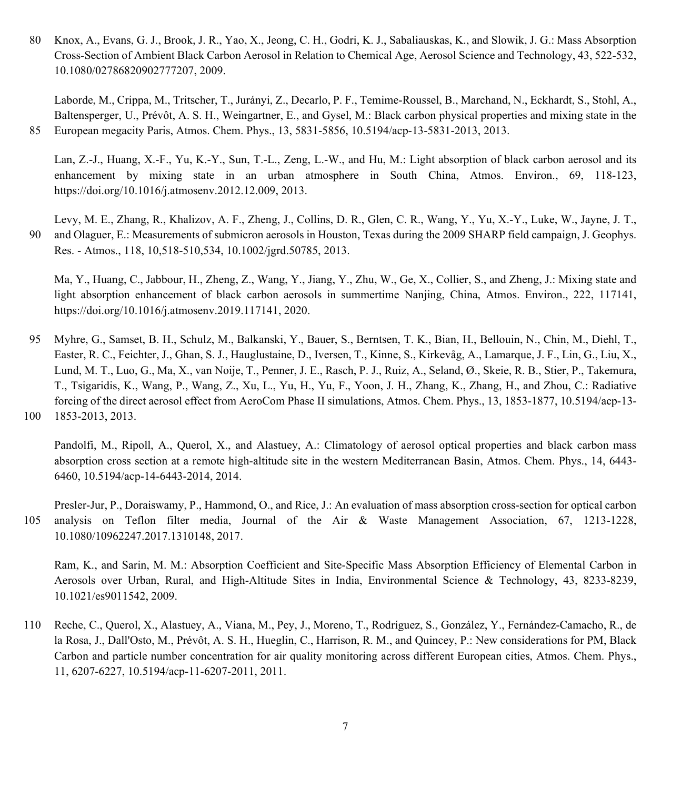80 Knox, A., Evans, G. J., Brook, J. R., Yao, X., Jeong, C. H., Godri, K. J., Sabaliauskas, K., and Slowik, J. G.: Mass Absorption Cross-Section of Ambient Black Carbon Aerosol in Relation to Chemical Age, Aerosol Science and Technology, 43, 522-532, 10.1080/02786820902777207, 2009.

Laborde, M., Crippa, M., Tritscher, T., Jurányi, Z., Decarlo, P. F., Temime-Roussel, B., Marchand, N., Eckhardt, S., Stohl, A., Baltensperger, U., Prévôt, A. S. H., Weingartner, E., and Gysel, M.: Black carbon physical properties and mixing state in the 85 European megacity Paris, Atmos. Chem. Phys., 13, 5831-5856, 10.5194/acp-13-5831-2013, 2013.

Lan, Z.-J., Huang, X.-F., Yu, K.-Y., Sun, T.-L., Zeng, L.-W., and Hu, M.: Light absorption of black carbon aerosol and its enhancement by mixing state in an urban atmosphere in South China, Atmos. Environ., 69, 118-123, https://doi.org/10.1016/j.atmosenv.2012.12.009, 2013.

Levy, M. E., Zhang, R., Khalizov, A. F., Zheng, J., Collins, D. R., Glen, C. R., Wang, Y., Yu, X.-Y., Luke, W., Jayne, J. T., 90 and Olaguer, E.: Measurements of submicron aerosols in Houston, Texas during the 2009 SHARP field campaign, J. Geophys. Res. - Atmos., 118, 10,518-510,534, 10.1002/jgrd.50785, 2013.

Ma, Y., Huang, C., Jabbour, H., Zheng, Z., Wang, Y., Jiang, Y., Zhu, W., Ge, X., Collier, S., and Zheng, J.: Mixing state and light absorption enhancement of black carbon aerosols in summertime Nanjing, China, Atmos. Environ., 222, 117141, https://doi.org/10.1016/j.atmosenv.2019.117141, 2020.

95 Myhre, G., Samset, B. H., Schulz, M., Balkanski, Y., Bauer, S., Berntsen, T. K., Bian, H., Bellouin, N., Chin, M., Diehl, T., Easter, R. C., Feichter, J., Ghan, S. J., Hauglustaine, D., Iversen, T., Kinne, S., Kirkevåg, A., Lamarque, J. F., Lin, G., Liu, X., Lund, M. T., Luo, G., Ma, X., van Noije, T., Penner, J. E., Rasch, P. J., Ruiz, A., Seland, Ø., Skeie, R. B., Stier, P., Takemura, T., Tsigaridis, K., Wang, P., Wang, Z., Xu, L., Yu, H., Yu, F., Yoon, J. H., Zhang, K., Zhang, H., and Zhou, C.: Radiative forcing of the direct aerosol effect from AeroCom Phase II simulations, Atmos. Chem. Phys., 13, 1853-1877, 10.5194/acp-13- 100 1853-2013, 2013.

Pandolfi, M., Ripoll, A., Querol, X., and Alastuey, A.: Climatology of aerosol optical properties and black carbon mass absorption cross section at a remote high-altitude site in the western Mediterranean Basin, Atmos. Chem. Phys., 14, 6443- 6460, 10.5194/acp-14-6443-2014, 2014.

Presler-Jur, P., Doraiswamy, P., Hammond, O., and Rice, J.: An evaluation of mass absorption cross-section for optical carbon 105 analysis on Teflon filter media, Journal of the Air & Waste Management Association, 67, 1213-1228, 10.1080/10962247.2017.1310148, 2017.

Ram, K., and Sarin, M. M.: Absorption Coefficient and Site-Specific Mass Absorption Efficiency of Elemental Carbon in Aerosols over Urban, Rural, and High-Altitude Sites in India, Environmental Science & Technology, 43, 8233-8239, 10.1021/es9011542, 2009.

110 Reche, C., Querol, X., Alastuey, A., Viana, M., Pey, J., Moreno, T., Rodríguez, S., González, Y., Fernández-Camacho, R., de la Rosa, J., Dall'Osto, M., Prévôt, A. S. H., Hueglin, C., Harrison, R. M., and Quincey, P.: New considerations for PM, Black Carbon and particle number concentration for air quality monitoring across different European cities, Atmos. Chem. Phys., 11, 6207-6227, 10.5194/acp-11-6207-2011, 2011.